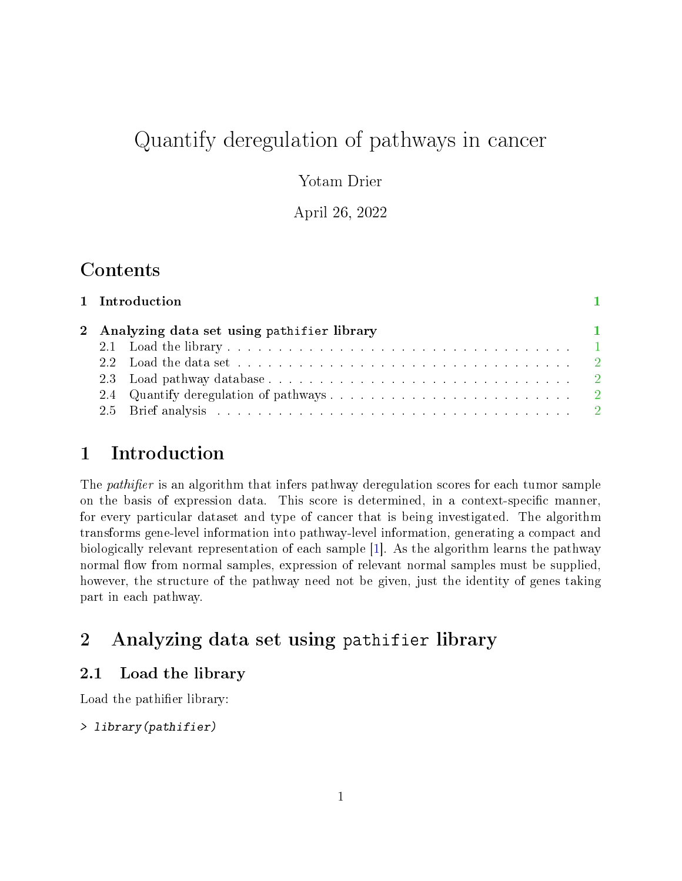# Quantify deregulation of pathways in cancer

Yotam Drier

April 26, 2022

## Contents

|  | $\blacksquare$                               |
|--|----------------------------------------------|
|  |                                              |
|  |                                              |
|  |                                              |
|  |                                              |
|  |                                              |
|  | 2 Analyzing data set using pathifier library |

### <span id="page-0-0"></span>1 Introduction

The *pathifier* is an algorithm that infers pathway deregulation scores for each tumor sample on the basis of expression data. This score is determined, in a context-specific manner, for every particular dataset and type of cancer that is being investigated. The algorithm transforms gene-level information into pathway-level information, generating a compact and biologically relevant representation of each sample [\[1\]](#page-2-0). As the algorithm learns the pathway normal flow from normal samples, expression of relevant normal samples must be supplied, however, the structure of the pathway need not be given, just the identity of genes taking part in each pathway.

## <span id="page-0-1"></span>2 Analyzing data set using pathifier library

#### <span id="page-0-2"></span>2.1 Load the library

Load the pathifier library:

> library(pathifier)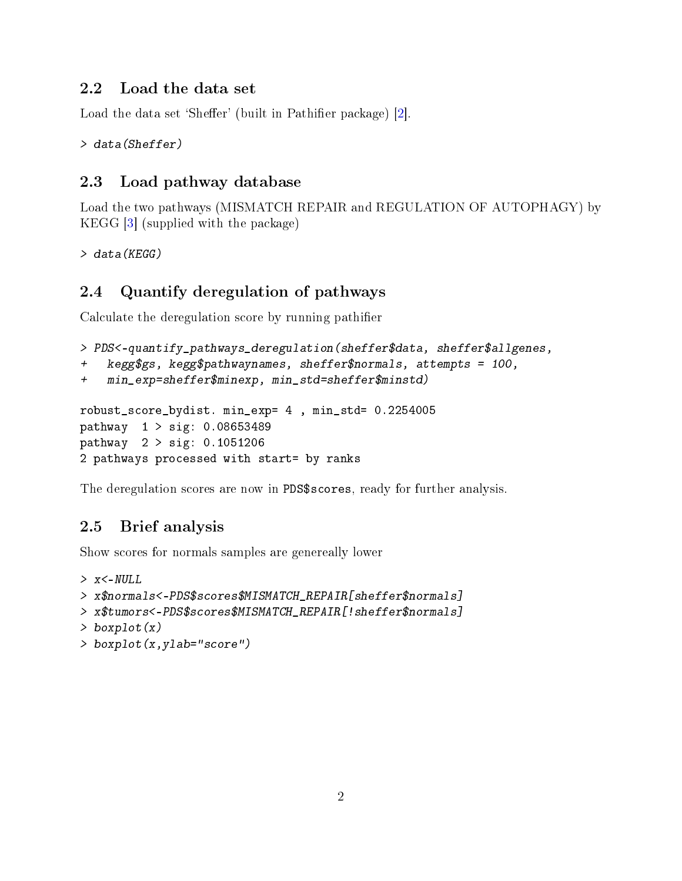#### <span id="page-1-0"></span>2.2 Load the data set

Load the data set 'Sheffer' (built in Pathifier package) [\[2\]](#page-2-1).

```
> data(Sheffer)
```
#### <span id="page-1-1"></span>2.3 Load pathway database

Load the two pathways (MISMATCH REPAIR and REGULATION OF AUTOPHAGY) by KEGG [\[3\]](#page-3-0) (supplied with the package)

```
> data(KEGG)
```
#### <span id="page-1-2"></span>2.4 Quantify deregulation of pathways

Calculate the deregulation score by running pathier

```
> PDS<-quantify_pathways_deregulation(sheffer$data, sheffer$allgenes,
```

```
kegg$gs, kegg$pathwaynames, sheffer$normals, attempts = 100,
```

```
+ min_exp=sheffer$minexp, min_std=sheffer$minstd)
```

```
robust_score_bydist. min_exp= 4 , min_std= 0.2254005
pathway 1 > sig: 0.08653489
pathway 2 > sig: 0.1051206
2 pathways processed with start= by ranks
```
The deregulation scores are now in PDS\$scores, ready for further analysis.

#### <span id="page-1-3"></span>2.5 Brief analysis

Show scores for normals samples are genereally lower

```
> x<-NULL
> x$normals<-PDS$scores$MISMATCH_REPAIR[sheffer$normals]
> x$tumors<-PDS$scores$MISMATCH_REPAIR[!sheffer$normals]
> boxplot(x)
> boxplot(x,ylab="score")
```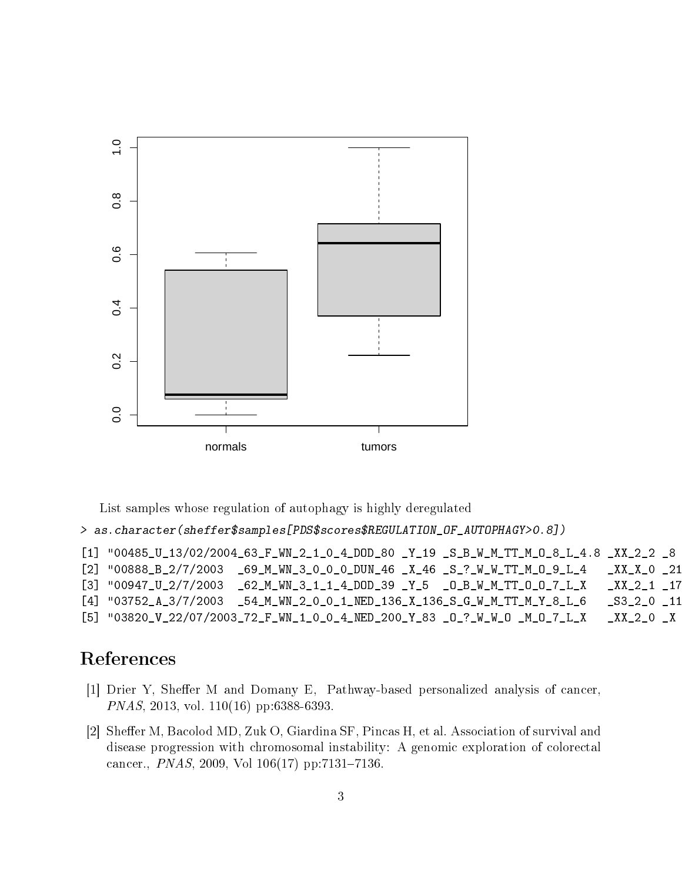

List samples whose regulation of autophagy is highly deregulated

> as.character(sheffer\$samples[PDS\$scores\$REGULATION\_OF\_AUTOPHAGY>0.8])

| [1] "00485_U_13/02/2004_63_F_WN_2_1_0_4_DOD_80 _Y_19 _S_B_W_M_TT_M_0_8_L_4.8 _XX_2_2 _8 |  |  |  |          |
|-----------------------------------------------------------------------------------------|--|--|--|----------|
| $[2]$ "00888_B_2/7/2003 _69_M_WN_3_0_0_0_DUN_46 _X_46 _S_?_W_W_TT_M_0_9_L_4             |  |  |  | XXX 021  |
| $[3]$ "00947_U_2/7/2003 _62_M_WN_3_1_1_4_DOD_39 _Y_5 _O_B_W_M_TT_O_O_7_L_X              |  |  |  | XX 21 17 |
| $[4]$ "03752_A_3/7/2003 _54_M_WN_2_0_0_1_NED_136_X_136_S_G_W_M_TT_M_Y_8_L_6             |  |  |  | S32011   |
| [5] "03820_V_22/07/2003_72_F_WN_1_0_0_4_NED_200_Y_83 _0_?_W_W_0 _M_0_7_L_X              |  |  |  | XX 20X   |

# References

- <span id="page-2-0"></span>[1] Drier Y, Sheffer M and Domany E, Pathway-based personalized analysis of cancer, PNAS, 2013, vol. 110(16) pp:6388-6393.
- <span id="page-2-1"></span>[2] Sheffer M, Bacolod MD, Zuk O, Giardina SF, Pincas H, et al. Association of survival and disease progression with chromosomal instability: A genomic exploration of colorectal cancer., *PNAS*, 2009, Vol  $106(17)$  pp:7131-7136.